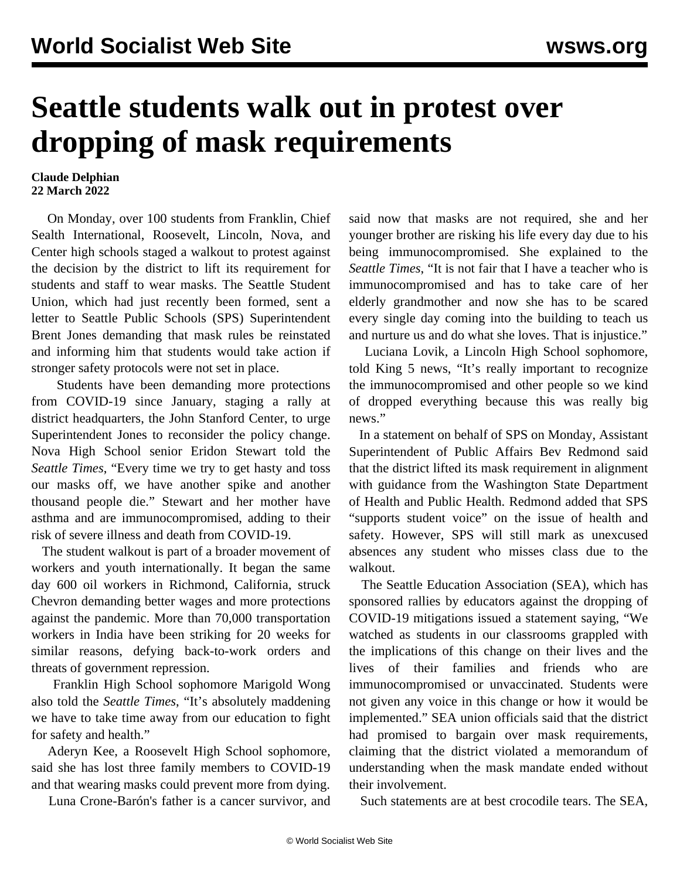## **Seattle students walk out in protest over dropping of mask requirements**

## **Claude Delphian 22 March 2022**

 On Monday, over 100 students from Franklin, Chief Sealth International, Roosevelt, Lincoln, Nova, and Center high schools staged a walkout to protest against the decision by the district to lift its requirement for students and staff to wear masks. The Seattle Student Union, which had just recently been formed, sent a [letter](https://seattlestudentunion.org/2022/03/14/open-letter-to-the-seattle-school-board-and-superintendent/) to Seattle Public Schools (SPS) Superintendent Brent Jones demanding that mask rules be reinstated and informing him that students would take action if stronger safety protocols were not set in place.

 Students have been demanding more protections from COVID-19 since January, staging a rally at district headquarters, the John Stanford Center, to urge Superintendent Jones to reconsider the policy change. Nova High School senior Eridon Stewart told the *Seattle Times*, "Every time we try to get hasty and toss our masks off, we have another spike and another thousand people die." Stewart and her mother have asthma and are immunocompromised, adding to their risk of severe illness and death from COVID-19.

 The student walkout is part of a broader movement of workers and youth internationally. It began the same day 600 oil workers in Richmond, California, struck Chevron demanding better wages and more protections against the pandemic. More than 70,000 transportation workers in India have been striking for 20 weeks for similar reasons, defying back-to-work orders and threats of government repression.

 Franklin High School sophomore Marigold Wong also told the *Seattle Times*, "It's absolutely maddening we have to take time away from our education to fight for safety and health."

 Aderyn Kee, a Roosevelt High School sophomore, said she has lost three family members to COVID-19 and that wearing masks could prevent more from dying.

Luna Crone-Barón's father is a cancer survivor, and

said now that masks are not required, she and her younger brother are risking his life every day due to his being immunocompromised. She explained to the *Seattle Times*, "It is not fair that I have a teacher who is immunocompromised and has to take care of her elderly grandmother and now she has to be scared every single day coming into the building to teach us and nurture us and do what she loves. That is injustice."

 Luciana Lovik, a Lincoln High School sophomore, told King 5 news, "It's really important to recognize the immunocompromised and other people so we kind of dropped everything because this was really big news."

 In a statement on behalf of SPS on Monday, Assistant Superintendent of Public Affairs Bev Redmond said that the district lifted its mask requirement in alignment with guidance from the Washington State Department of Health and Public Health. Redmond added that SPS "supports student voice" on the issue of health and safety. However, SPS will still mark as unexcused absences any student who misses class due to the walkout.

 The Seattle Education Association (SEA), which has sponsored rallies by educators against the dropping of COVID-19 mitigations issued a statement saying, "We watched as students in our classrooms grappled with the implications of this change on their lives and the lives of their families and friends who are immunocompromised or unvaccinated. Students were not given any voice in this change or how it would be implemented." SEA union officials said that the district had promised to bargain over mask requirements, claiming that the district violated a memorandum of understanding when the mask mandate ended without their involvement.

Such statements are at best crocodile tears. The SEA,